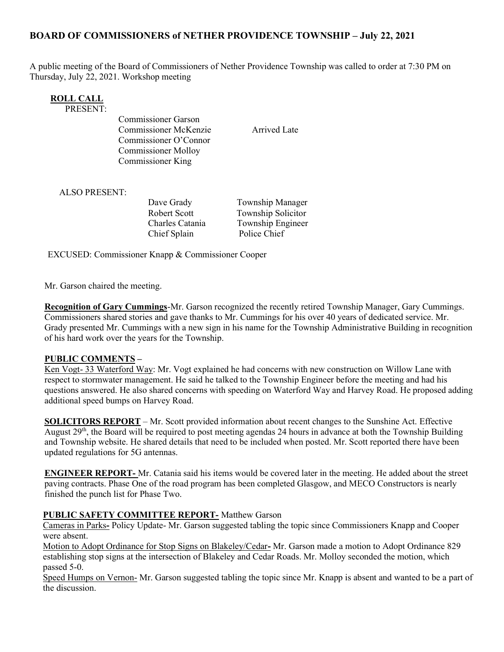# BOARD OF COMMISSIONERS of NETHER PROVIDENCE TOWNSHIP – July 22, 2021

A public meeting of the Board of Commissioners of Nether Providence Township was called to order at 7:30 PM on Thursday, July 22, 2021. Workshop meeting

| ROLL CALI |  |
|-----------|--|
| ------    |  |

PRESENT:

Commissioner Garson Commissioner McKenzie Arrived Late Commissioner O'Connor Commissioner Molloy Commissioner King

ALSO PRESENT:

Dave Grady Township Manager Chief Splain Police Chief

Robert Scott Township Solicitor Charles Catania Township Engineer

EXCUSED: Commissioner Knapp & Commissioner Cooper

Mr. Garson chaired the meeting.

Recognition of Gary Cummings-Mr. Garson recognized the recently retired Township Manager, Gary Cummings. Commissioners shared stories and gave thanks to Mr. Cummings for his over 40 years of dedicated service. Mr. Grady presented Mr. Cummings with a new sign in his name for the Township Administrative Building in recognition of his hard work over the years for the Township.

#### PUBLIC COMMENTS –

Ken Vogt- 33 Waterford Way: Mr. Vogt explained he had concerns with new construction on Willow Lane with respect to stormwater management. He said he talked to the Township Engineer before the meeting and had his questions answered. He also shared concerns with speeding on Waterford Way and Harvey Road. He proposed adding additional speed bumps on Harvey Road.

SOLICITORS REPORT – Mr. Scott provided information about recent changes to the Sunshine Act. Effective August 29<sup>th</sup>, the Board will be required to post meeting agendas 24 hours in advance at both the Township Building and Township website. He shared details that need to be included when posted. Mr. Scott reported there have been updated regulations for 5G antennas.

ENGINEER REPORT- Mr. Catania said his items would be covered later in the meeting. He added about the street paving contracts. Phase One of the road program has been completed Glasgow, and MECO Constructors is nearly finished the punch list for Phase Two.

#### PUBLIC SAFETY COMMITTEE REPORT- Matthew Garson

Cameras in Parks- Policy Update- Mr. Garson suggested tabling the topic since Commissioners Knapp and Cooper were absent.

Motion to Adopt Ordinance for Stop Signs on Blakeley/Cedar- Mr. Garson made a motion to Adopt Ordinance 829 establishing stop signs at the intersection of Blakeley and Cedar Roads. Mr. Molloy seconded the motion, which passed 5-0.

Speed Humps on Vernon- Mr. Garson suggested tabling the topic since Mr. Knapp is absent and wanted to be a part of the discussion.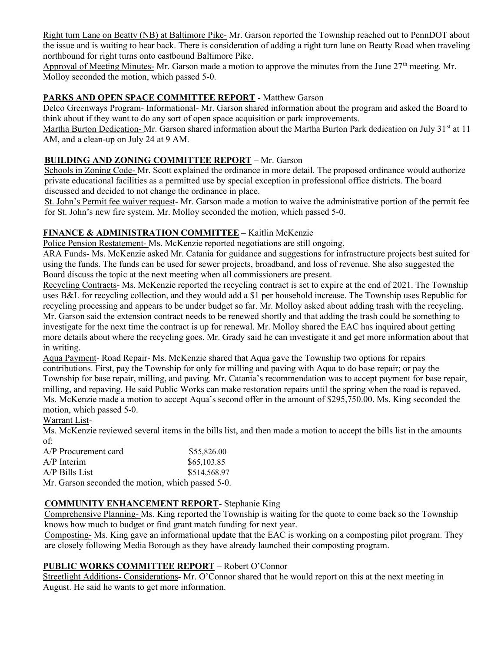Right turn Lane on Beatty (NB) at Baltimore Pike- Mr. Garson reported the Township reached out to PennDOT about the issue and is waiting to hear back. There is consideration of adding a right turn lane on Beatty Road when traveling northbound for right turns onto eastbound Baltimore Pike.

Approval of Meeting Minutes- Mr. Garson made a motion to approve the minutes from the June 27<sup>th</sup> meeting. Mr. Molloy seconded the motion, which passed 5-0.

### PARKS AND OPEN SPACE COMMITTEE REPORT - Matthew Garson

Delco Greenways Program- Informational- Mr. Garson shared information about the program and asked the Board to think about if they want to do any sort of open space acquisition or park improvements.

Martha Burton Dedication- Mr. Garson shared information about the Martha Burton Park dedication on July 31<sup>st</sup> at 11 AM, and a clean-up on July 24 at 9 AM.

#### BUILDING AND ZONING COMMITTEE REPORT – Mr. Garson

Schools in Zoning Code- Mr. Scott explained the ordinance in more detail. The proposed ordinance would authorize private educational facilities as a permitted use by special exception in professional office districts. The board discussed and decided to not change the ordinance in place.

St. John's Permit fee waiver request- Mr. Garson made a motion to waive the administrative portion of the permit fee for St. John's new fire system. Mr. Molloy seconded the motion, which passed 5-0.

### FINANCE & ADMINISTRATION COMMITTEE - Kaitlin McKenzie

Police Pension Restatement- Ms. McKenzie reported negotiations are still ongoing.

ARA Funds- Ms. McKenzie asked Mr. Catania for guidance and suggestions for infrastructure projects best suited for using the funds. The funds can be used for sewer projects, broadband, and loss of revenue. She also suggested the Board discuss the topic at the next meeting when all commissioners are present.

Recycling Contracts- Ms. McKenzie reported the recycling contract is set to expire at the end of 2021. The Township uses B&L for recycling collection, and they would add a \$1 per household increase. The Township uses Republic for recycling processing and appears to be under budget so far. Mr. Molloy asked about adding trash with the recycling. Mr. Garson said the extension contract needs to be renewed shortly and that adding the trash could be something to investigate for the next time the contract is up for renewal. Mr. Molloy shared the EAC has inquired about getting more details about where the recycling goes. Mr. Grady said he can investigate it and get more information about that in writing.

Aqua Payment- Road Repair- Ms. McKenzie shared that Aqua gave the Township two options for repairs contributions. First, pay the Township for only for milling and paving with Aqua to do base repair; or pay the Township for base repair, milling, and paving. Mr. Catania's recommendation was to accept payment for base repair, milling, and repaving. He said Public Works can make restoration repairs until the spring when the road is repaved. Ms. McKenzie made a motion to accept Aqua's second offer in the amount of \$295,750.00. Ms. King seconded the motion, which passed 5-0.

#### Warrant List-

Ms. McKenzie reviewed several items in the bills list, and then made a motion to accept the bills list in the amounts of:

| A/P Procurement card                              | \$55,826.00  |
|---------------------------------------------------|--------------|
| $A/P$ Interim                                     | \$65,103.85  |
| $A/P$ Bills List                                  | \$514,568.97 |
| Mr. Garson seconded the motion, which passed 5-0. |              |

### COMMUNITY ENHANCEMENT REPORT- Stephanie King

Comprehensive Planning- Ms. King reported the Township is waiting for the quote to come back so the Township knows how much to budget or find grant match funding for next year.

Composting- Ms. King gave an informational update that the EAC is working on a composting pilot program. They are closely following Media Borough as they have already launched their composting program.

## PUBLIC WORKS COMMITTEE REPORT – Robert O'Connor

Streetlight Additions- Considerations- Mr. O'Connor shared that he would report on this at the next meeting in August. He said he wants to get more information.